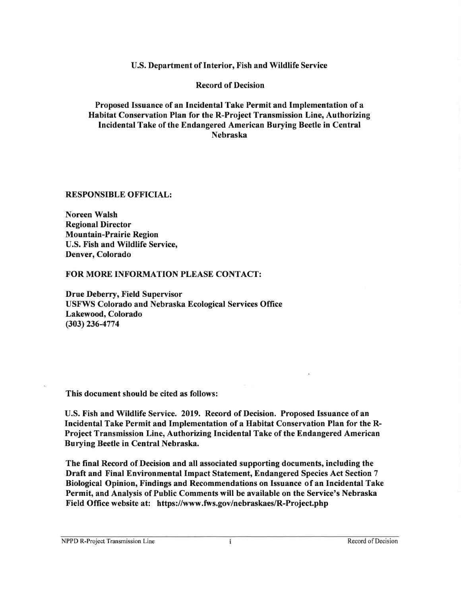U.S. Department of Interior, Fish and Wildlife Service

**Record of Decision** 

Proposed Issuance of an Incidental Take Permit and Implementation of a Habitat Conservation Plan for the R-Project Transmission Line, Authorizing Incidental Take of the Endangered American Burying Beetle in Central **Nebraska** 

**RESPONSIBLE OFFICIAL:** 

**Noreen Walsh Regional Director Mountain-Prairie Region** U.S. Fish and Wildlife Service, Denver, Colorado

FOR MORE INFORMATION PLEASE CONTACT:

**Drue Deberry, Field Supervisor USFWS Colorado and Nebraska Ecological Services Office** Lakewood, Colorado  $(303)$  236-4774

This document should be cited as follows:

U.S. Fish and Wildlife Service. 2019. Record of Decision. Proposed Issuance of an Incidental Take Permit and Implementation of a Habitat Conservation Plan for the R-Project Transmission Line, Authorizing Incidental Take of the Endangered American Burying Beetle in Central Nebraska.

The final Record of Decision and all associated supporting documents, including the Draft and Final Environmental Impact Statement, Endangered Species Act Section 7 Biological Opinion, Findings and Recommendations on Issuance of an Incidental Take Permit, and Analysis of Public Comments will be available on the Service's Nebraska Field Office website at: https://www.fws.gov/nebraskaes/R-Project.php

NPPD R-Project Transmission Line

Ť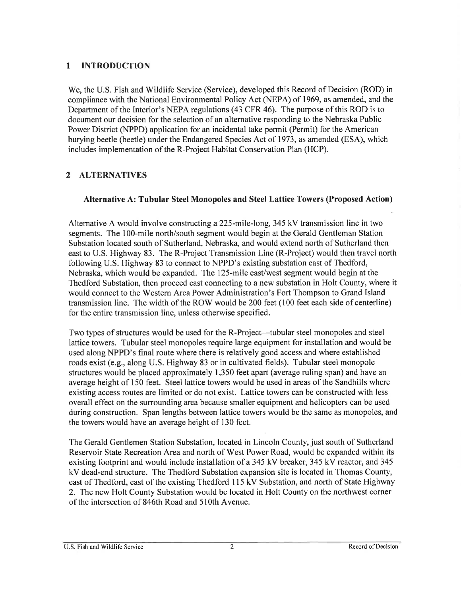#### $\mathbf{1}$ **INTRODUCTION**

We, the U.S. Fish and Wildlife Service (Service), developed this Record of Decision (ROD) in compliance with the National Environmental Policy Act (NEPA) of 1969, as amended, and the Department of the Interior's NEPA regulations (43 CFR 46). The purpose of this ROD is to document our decision for the selection of an alternative responding to the Nebraska Public Power District (NPPD) application for an incidental take permit (Permit) for the American burying beetle (beetle) under the Endangered Species Act of 1973, as amended (ESA), which includes implementation of the R-Project Habitat Conservation Plan (HCP).

#### $2<sup>1</sup>$ **ALTERNATIVES**

#### Alternative A: Tubular Steel Monopoles and Steel Lattice Towers (Proposed Action)

Alternative A would involve constructing a 225-mile-long, 345 kV transmission line in two segments. The 100-mile north/south segment would begin at the Gerald Gentleman Station Substation located south of Sutherland, Nebraska, and would extend north of Sutherland then east to U.S. Highway 83. The R-Project Transmission Line (R-Project) would then travel north following U.S. Highway 83 to connect to NPPD's existing substation east of Thedford, Nebraska, which would be expanded. The 125-mile east/west segment would begin at the Thedford Substation, then proceed east connecting to a new substation in Holt County, where it would connect to the Western Area Power Administration's Fort Thompson to Grand Island transmission line. The width of the ROW would be 200 feet (100 feet each side of centerline) for the entire transmission line, unless otherwise specified.

Two types of structures would be used for the R-Project—tubular steel monopoles and steel lattice towers. Tubular steel monopoles require large equipment for installation and would be used along NPPD's final route where there is relatively good access and where established roads exist (e.g., along U.S. Highway 83 or in cultivated fields). Tubular steel monopole structures would be placed approximately 1,350 feet apart (average ruling span) and have an average height of 150 feet. Steel lattice towers would be used in areas of the Sandhills where existing access routes are limited or do not exist. Lattice towers can be constructed with less overall effect on the surrounding area because smaller equipment and helicopters can be used during construction. Span lengths between lattice towers would be the same as monopoles, and the towers would have an average height of 130 feet.

The Gerald Gentlemen Station Substation, located in Lincoln County, just south of Sutherland Reservoir State Recreation Area and north of West Power Road, would be expanded within its existing footprint and would include installation of a 345 kV breaker, 345 kV reactor, and 345 kV dead-end structure. The Thedford Substation expansion site is located in Thomas County, east of Thedford, east of the existing Thedford 115 kV Substation, and north of State Highway 2. The new Holt County Substation would be located in Holt County on the northwest corner of the intersection of 846th Road and 510th Avenue.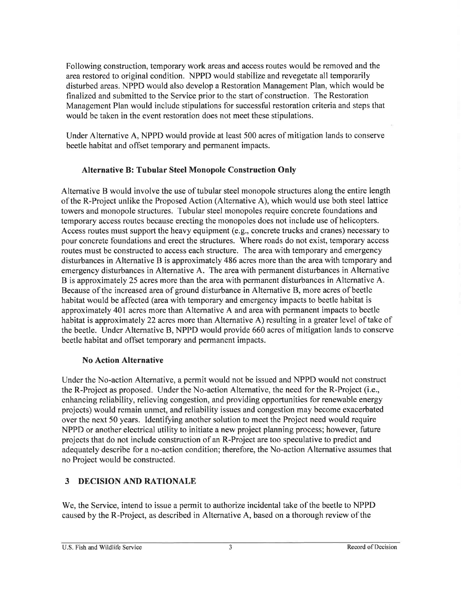Following construction, temporary work areas and access routes would be removed and the area restored to original condition. NPPD would stabilize and revegetate all temporarily disturbed areas. NPPD would also develop a Restoration Management Plan, which would be finalized and submitted to the Service prior to the start of construction. The Restoration Management Plan would include stipulations for successful restoration criteria and steps that would be taken in the event restoration does not meet these stipulations.

Under Alternative A, NPPD would provide at least 500 acres of mitigation lands to conserve beetle habitat and offset temporary and permanent impacts.

#### **Alternative B: Tubular Steel Monopole Construction Only**

Alternative B would involve the use of tubular steel monopole structures along the entire length of the R-Project unlike the Proposed Action (Alternative A), which would use both steel lattice towers and monopole structures. Tubular steel monopoles require concrete foundations and temporary access routes because erecting the monopoles does not include use of helicopters. Access routes must support the heavy equipment (e.g., concrete trucks and cranes) necessary to pour concrete foundations and erect the structures. Where roads do not exist, temporary access routes must be constructed to access each structure. The area with temporary and emergency disturbances in Alternative B is approximately 486 acres more than the area with temporary and emergency disturbances in Alternative A. The area with permanent disturbances in Alternative B is approximately 25 acres more than the area with permanent disturbances in Alternative A. Because of the increased area of ground disturbance in Alternative B, more acres of beetle habitat would be affected (area with temporary and emergency impacts to beetle habitat is approximately 401 acres more than Alternative A and area with permanent impacts to beetle habitat is approximately 22 acres more than Alternative A) resulting in a greater level of take of the beetle. Under Alternative B, NPPD would provide 660 acres of mitigation lands to conserve beetle habitat and offset temporary and permanent impacts.

#### **No Action Alternative**

Under the No-action Alternative, a permit would not be issued and NPPD would not construct the R-Project as proposed. Under the No-action Alternative, the need for the R-Project (i.e., enhancing reliability, relieving congestion, and providing opportunities for renewable energy projects) would remain unmet, and reliability issues and congestion may become exacerbated over the next 50 years. Identifying another solution to meet the Project need would require NPPD or another electrical utility to initiate a new project planning process; however, future projects that do not include construction of an R-Project are too speculative to predict and adequately describe for a no-action condition; therefore, the No-action Alternative assumes that no Project would be constructed.

#### **DECISION AND RATIONALE**  $\mathbf{3}$

We, the Service, intend to issue a permit to authorize incidental take of the beetle to NPPD caused by the R-Project, as described in Alternative A, based on a thorough review of the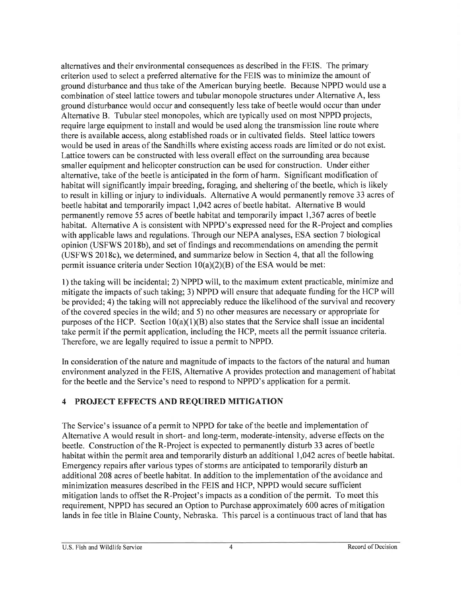alternatives and their environmental consequences as described in the FEIS. The primary criterion used to select a preferred alternative for the FEIS was to minimize the amount of ground disturbance and thus take of the American burying beetle. Because NPPD would use a combination of steel lattice towers and tubular monopole structures under Alternative A, less ground disturbance would occur and consequently less take of beetle would occur than under Alternative B. Tubular steel monopoles, which are typically used on most NPPD projects, require large equipment to install and would be used along the transmission line route where there is available access, along established roads or in cultivated fields. Steel lattice towers would be used in areas of the Sandhills where existing access roads are limited or do not exist. Lattice towers can be constructed with less overall effect on the surrounding area because smaller equipment and helicopter construction can be used for construction. Under either alternative, take of the beetle is anticipated in the form of harm. Significant modification of habitat will significantly impair breeding, foraging, and sheltering of the beetle, which is likely to result in killing or injury to individuals. Alternative A would permanently remove 33 acres of beetle habitat and temporarily impact 1,042 acres of beetle habitat. Alternative B would permanently remove 55 acres of beetle habitat and temporarily impact 1,367 acres of beetle habitat. Alternative A is consistent with NPPD's expressed need for the R-Project and complies with applicable laws and regulations. Through our NEPA analyses, ESA section 7 biological opinion (USFWS 2018b), and set of findings and recommendations on amending the permit (USFWS 2018c), we determined, and summarize below in Section 4, that all the following permit issuance criteria under Section  $10(a)(2)(B)$  of the ESA would be met:

1) the taking will be incidental; 2) NPPD will, to the maximum extent practicable, minimize and mitigate the impacts of such taking; 3) NPPD will ensure that adequate funding for the HCP will be provided; 4) the taking will not appreciably reduce the likelihood of the survival and recovery of the covered species in the wild; and 5) no other measures are necessary or appropriate for purposes of the HCP. Section  $10(a)(1)(B)$  also states that the Service shall issue an incidental take permit if the permit application, including the HCP, meets all the permit issuance criteria. Therefore, we are legally required to issue a permit to NPPD.

In consideration of the nature and magnitude of impacts to the factors of the natural and human environment analyzed in the FEIS, Alternative A provides protection and management of habitat for the beetle and the Service's need to respond to NPPD's application for a permit.

#### 4 PROJECT EFFECTS AND REQUIRED MITIGATION

The Service's issuance of a permit to NPPD for take of the beetle and implementation of Alternative A would result in short- and long-term, moderate-intensity, adverse effects on the beetle. Construction of the R-Project is expected to permanently disturb 33 acres of beetle habitat within the permit area and temporarily disturb an additional 1,042 acres of beetle habitat. Emergency repairs after various types of storms are anticipated to temporarily disturb an additional 208 acres of beetle habitat. In addition to the implementation of the avoidance and minimization measures described in the FEIS and HCP, NPPD would secure sufficient mitigation lands to offset the R-Project's impacts as a condition of the permit. To meet this requirement, NPPD has secured an Option to Purchase approximately 600 acres of mitigation lands in fee title in Blaine County, Nebraska. This parcel is a continuous tract of land that has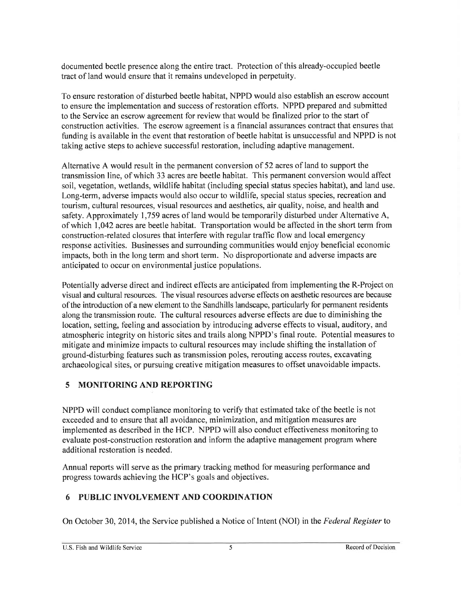documented beetle presence along the entire tract. Protection of this already-occupied beetle tract of land would ensure that it remains undeveloped in perpetuity.

To ensure restoration of disturbed beetle habitat, NPPD would also establish an escrow account to ensure the implementation and success of restoration efforts. NPPD prepared and submitted to the Service an escrow agreement for review that would be finalized prior to the start of construction activities. The escrow agreement is a financial assurances contract that ensures that funding is available in the event that restoration of beetle habitat is unsuccessful and NPPD is not taking active steps to achieve successful restoration, including adaptive management.

Alternative A would result in the permanent conversion of 52 acres of land to support the transmission line, of which 33 acres are beetle habitat. This permanent conversion would affect soil, vegetation, wetlands, wildlife habitat (including special status species habitat), and land use. Long-term, adverse impacts would also occur to wildlife, special status species, recreation and tourism, cultural resources, visual resources and aesthetics, air quality, noise, and health and safety. Approximately 1,759 acres of land would be temporarily disturbed under Alternative A, of which 1,042 acres are beetle habitat. Transportation would be affected in the short term from construction-related closures that interfere with regular traffic flow and local emergency response activities. Businesses and surrounding communities would enjoy beneficial economic impacts, both in the long term and short term. No disproportionate and adverse impacts are anticipated to occur on environmental justice populations.

Potentially adverse direct and indirect effects are anticipated from implementing the R-Project on visual and cultural resources. The visual resources adverse effects on aesthetic resources are because of the introduction of a new element to the Sandhills landscape, particularly for permanent residents along the transmission route. The cultural resources adverse effects are due to diminishing the location, setting, feeling and association by introducing adverse effects to visual, auditory, and atmospheric integrity on historic sites and trails along NPPD's final route. Potential measures to mitigate and minimize impacts to cultural resources may include shifting the installation of ground-disturbing features such as transmission poles, rerouting access routes, excavating archaeological sites, or pursuing creative mitigation measures to offset unavoidable impacts.

## 5 MONITORING AND REPORTING

NPPD will conduct compliance monitoring to verify that estimated take of the beetle is not exceeded and to ensure that all avoidance, minimization, and mitigation measures are implemented as described in the HCP. NPPD will also conduct effectiveness monitoring to evaluate post-construction restoration and inform the adaptive management program where additional restoration is needed.

Annual reports will serve as the primary tracking method for measuring performance and progress towards achieving the HCP's goals and objectives.

#### PUBLIC INVOLVEMENT AND COORDINATION 6

On October 30, 2014, the Service published a Notice of Intent (NOI) in the Federal Register to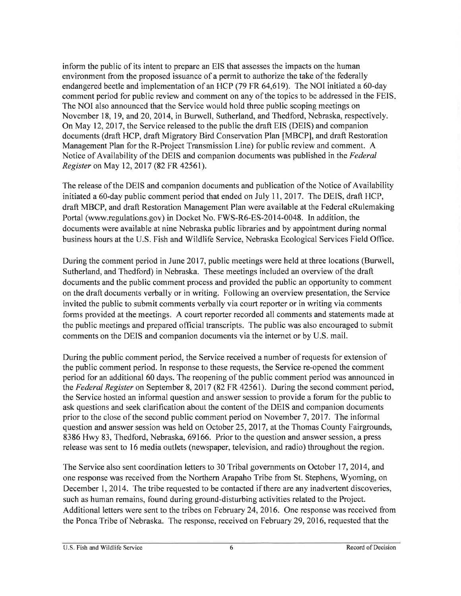inform the public of its intent to prepare an EIS that assesses the impacts on the human environment from the proposed issuance of a permit to authorize the take of the federally endangered beetle and implementation of an HCP (79 FR 64,619). The NOI initiated a 60-day comment period for public review and comment on any of the topics to be addressed in the FEIS. The NOI also announced that the Service would hold three public scoping meetings on November 18, 19, and 20, 2014, in Burwell, Sutherland, and Thedford, Nebraska, respectively. On May 12, 2017, the Service released to the public the draft EIS (DEIS) and companion documents (draft HCP, draft Migratory Bird Conservation Plan [MBCP], and draft Restoration Management Plan for the R-Project Transmission Line) for public review and comment. A Notice of Availability of the DEIS and companion documents was published in the Federal Register on May 12, 2017 (82 FR 42561).

The release of the DEIS and companion documents and publication of the Notice of Availability initiated a 60-day public comment period that ended on July 11, 2017. The DEIS, draft HCP, draft MBCP, and draft Restoration Management Plan were available at the Federal eRulemaking Portal (www.regulations.gov) in Docket No. FWS-R6-ES-2014-0048. In addition, the documents were available at nine Nebraska public libraries and by appointment during normal business hours at the U.S. Fish and Wildlife Service, Nebraska Ecological Services Field Office.

During the comment period in June 2017, public meetings were held at three locations (Burwell, Sutherland, and Thedford) in Nebraska. These meetings included an overview of the draft documents and the public comment process and provided the public an opportunity to comment on the draft documents verbally or in writing. Following an overview presentation, the Service invited the public to submit comments verbally via court reporter or in writing via comments forms provided at the meetings. A court reporter recorded all comments and statements made at the public meetings and prepared official transcripts. The public was also encouraged to submit comments on the DEIS and companion documents via the internet or by U.S. mail.

During the public comment period, the Service received a number of requests for extension of the public comment period. In response to these requests, the Service re-opened the comment period for an additional 60 days. The reopening of the public comment period was announced in the Federal Register on September 8, 2017 (82 FR 42561). During the second comment period, the Service hosted an informal question and answer session to provide a forum for the public to ask questions and seek clarification about the content of the DEIS and companion documents prior to the close of the second public comment period on November 7, 2017. The informal question and answer session was held on October 25, 2017, at the Thomas County Fairgrounds, 8386 Hwy 83, Thedford, Nebraska, 69166. Prior to the question and answer session, a press release was sent to 16 media outlets (newspaper, television, and radio) throughout the region.

The Service also sent coordination letters to 30 Tribal governments on October 17, 2014, and one response was received from the Northern Arapaho Tribe from St. Stephens, Wyoming, on December 1, 2014. The tribe requested to be contacted if there are any inadvertent discoveries, such as human remains, found during ground-disturbing activities related to the Project. Additional letters were sent to the tribes on February 24, 2016. One response was received from the Ponca Tribe of Nebraska. The response, received on February 29, 2016, requested that the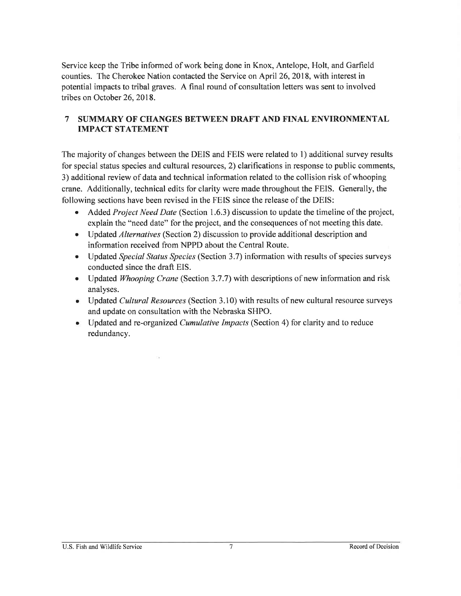Service keep the Tribe informed of work being done in Knox, Antelope, Holt, and Garfield counties. The Cherokee Nation contacted the Service on April 26, 2018, with interest in potential impacts to tribal graves. A final round of consultation letters was sent to involved tribes on October 26, 2018.

#### SUMMARY OF CHANGES BETWEEN DRAFT AND FINAL ENVIRONMENTAL  $\overline{7}$ **IMPACT STATEMENT**

The majority of changes between the DEIS and FEIS were related to 1) additional survey results for special status species and cultural resources, 2) clarifications in response to public comments, 3) additional review of data and technical information related to the collision risk of whooping crane. Additionally, technical edits for clarity were made throughout the FEIS. Generally, the following sections have been revised in the FEIS since the release of the DEIS:

- Added *Project Need Date* (Section 1.6.3) discussion to update the timeline of the project, explain the "need date" for the project, and the consequences of not meeting this date.
- Updated *Alternatives* (Section 2) discussion to provide additional description and information received from NPPD about the Central Route.
- Updated Special Status Species (Section 3.7) information with results of species surveys conducted since the draft EIS.
- Updated *Whooping Crane* (Section 3.7.7) with descriptions of new information and risk analyses.
- Updated Cultural Resources (Section 3.10) with results of new cultural resource surveys and update on consultation with the Nebraska SHPO.
- Updated and re-organized *Cumulative Impacts* (Section 4) for clarity and to reduce redundancy.

 $\mathcal{O}_4^+$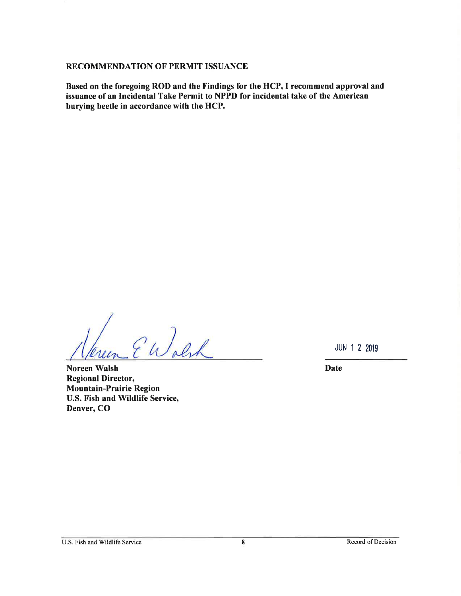#### RECOMMENDATION OF PERMIT ISSUANCE

Based on the foregoing ROD and the Findings for the HCP, I recommend approval and issuance of an Incidental Take Permit to NPPD for incidental take of the American burying beetle in accordance with the HCP.

EWolh

**Noreen Walsh Regional Director, Mountain-Prairie Region** U.S. Fish and Wildlife Service, Denver, CO

**JUN 1 2 2019** 

**Date**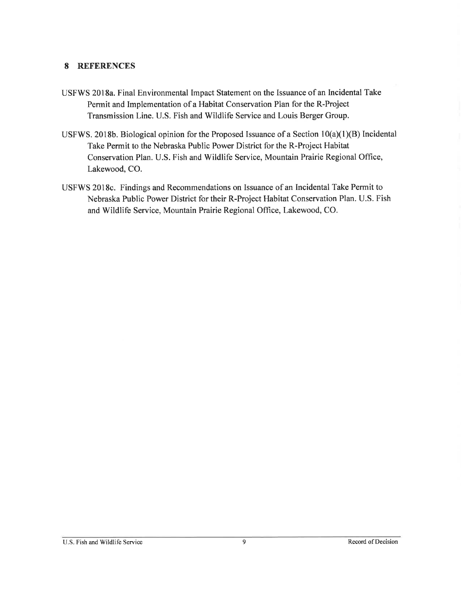#### 8 **REFERENCES**

- USFWS 2018a. Final Environmental Impact Statement on the Issuance of an Incidental Take Permit and Implementation of a Habitat Conservation Plan for the R-Project Transmission Line. U.S. Fish and Wildlife Service and Louis Berger Group.
- USFWS. 2018b. Biological opinion for the Proposed Issuance of a Section 10(a)(1)(B) Incidental Take Permit to the Nebraska Public Power District for the R-Project Habitat Conservation Plan. U.S. Fish and Wildlife Service, Mountain Prairie Regional Office, Lakewood, CO.
- USFWS 2018c. Findings and Recommendations on Issuance of an Incidental Take Permit to Nebraska Public Power District for their R-Project Habitat Conservation Plan. U.S. Fish and Wildlife Service, Mountain Prairie Regional Office, Lakewood, CO.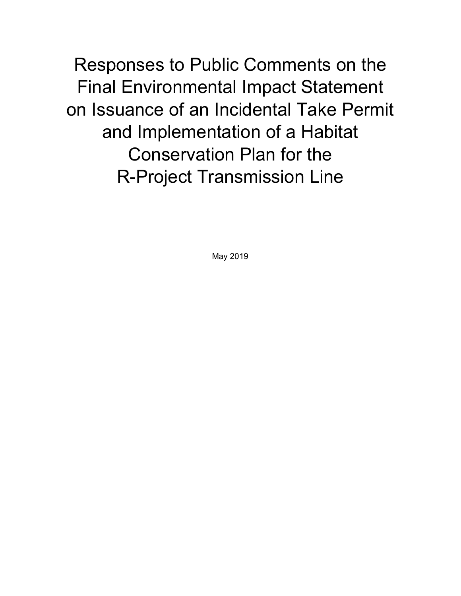Responses to Public Comments on the Final Environmental Impact Statement on Issuance of an Incidental Take Permit and Implementation of a Habitat Conservation Plan for the R-Project Transmission Line

May 2019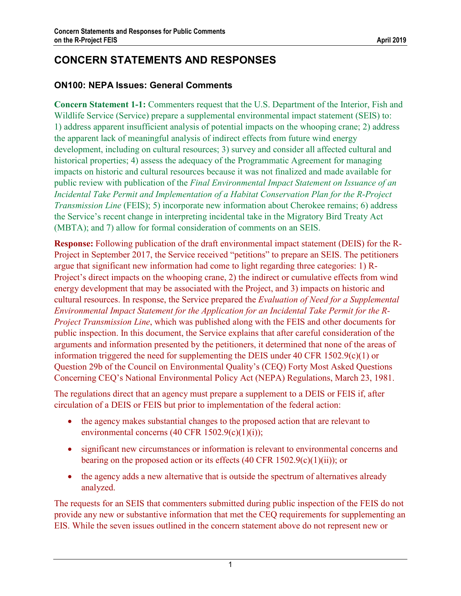# **CONCERN STATEMENTS AND RESPONSES**

# **ON100: NEPA Issues: General Comments**

**Concern Statement 1-1:** Commenters request that the U.S. Department of the Interior, Fish and Wildlife Service (Service) prepare a supplemental environmental impact statement (SEIS) to: 1) address apparent insufficient analysis of potential impacts on the whooping crane; 2) address the apparent lack of meaningful analysis of indirect effects from future wind energy development, including on cultural resources; 3) survey and consider all affected cultural and historical properties; 4) assess the adequacy of the Programmatic Agreement for managing impacts on historic and cultural resources because it was not finalized and made available for public review with publication of the *Final Environmental Impact Statement on Issuance of an Incidental Take Permit and Implementation of a Habitat Conservation Plan for the R-Project Transmission Line* (FEIS); 5) incorporate new information about Cherokee remains; 6) address the Service's recent change in interpreting incidental take in the Migratory Bird Treaty Act (MBTA); and 7) allow for formal consideration of comments on an SEIS.

**Response:** Following publication of the draft environmental impact statement (DEIS) for the R-Project in September 2017, the Service received "petitions" to prepare an SEIS. The petitioners argue that significant new information had come to light regarding three categories: 1) R-Project's direct impacts on the whooping crane, 2) the indirect or cumulative effects from wind energy development that may be associated with the Project, and 3) impacts on historic and cultural resources. In response, the Service prepared the *Evaluation of Need for a Supplemental Environmental Impact Statement for the Application for an Incidental Take Permit for the R-Project Transmission Line*, which was published along with the FEIS and other documents for public inspection. In this document, the Service explains that after careful consideration of the arguments and information presented by the petitioners, it determined that none of the areas of information triggered the need for supplementing the DEIS under 40 CFR 1502.9(c)(1) or Question 29b of the Council on Environmental Quality's (CEQ) Forty Most Asked Questions Concerning CEQ's National Environmental Policy Act (NEPA) Regulations, March 23, 1981.

The regulations direct that an agency must prepare a supplement to a DEIS or FEIS if, after circulation of a DEIS or FEIS but prior to implementation of the federal action:

- the agency makes substantial changes to the proposed action that are relevant to environmental concerns (40 CFR 1502.9(c)(1)(i));
- significant new circumstances or information is relevant to environmental concerns and bearing on the proposed action or its effects  $(40 \text{ CFR } 1502.9(c)(1)(ii))$ ; or
- the agency adds a new alternative that is outside the spectrum of alternatives already analyzed.

The requests for an SEIS that commenters submitted during public inspection of the FEIS do not provide any new or substantive information that met the CEQ requirements for supplementing an EIS. While the seven issues outlined in the concern statement above do not represent new or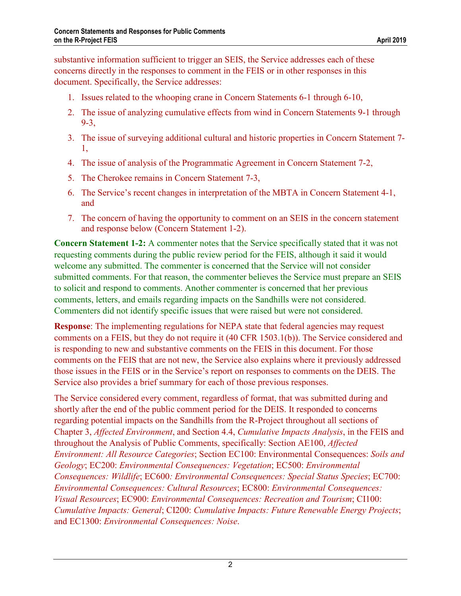substantive information sufficient to trigger an SEIS, the Service addresses each of these concerns directly in the responses to comment in the FEIS or in other responses in this document. Specifically, the Service addresses:

- 1. Issues related to the whooping crane in Concern Statements 6-1 through 6-10,
- 2. The issue of analyzing cumulative effects from wind in Concern Statements 9-1 through 9-3,
- 3. The issue of surveying additional cultural and historic properties in Concern Statement 7- 1,
- 4. The issue of analysis of the Programmatic Agreement in Concern Statement 7-2,
- 5. The Cherokee remains in Concern Statement 7-3,
- 6. The Service's recent changes in interpretation of the MBTA in Concern Statement 4-1, and
- 7. The concern of having the opportunity to comment on an SEIS in the concern statement and response below (Concern Statement 1-2).

**Concern Statement 1-2:** A commenter notes that the Service specifically stated that it was not requesting comments during the public review period for the FEIS, although it said it would welcome any submitted. The commenter is concerned that the Service will not consider submitted comments. For that reason, the commenter believes the Service must prepare an SEIS to solicit and respond to comments. Another commenter is concerned that her previous comments, letters, and emails regarding impacts on the Sandhills were not considered. Commenters did not identify specific issues that were raised but were not considered.

**Response:** The implementing regulations for NEPA state that federal agencies may request comments on a FEIS, but they do not require it (40 CFR 1503.1(b)). The Service considered and is responding to new and substantive comments on the FEIS in this document. For those comments on the FEIS that are not new, the Service also explains where it previously addressed those issues in the FEIS or in the Service's report on responses to comments on the DEIS. The Service also provides a brief summary for each of those previous responses.

The Service considered every comment, regardless of format, that was submitted during and shortly after the end of the public comment period for the DEIS. It responded to concerns regarding potential impacts on the Sandhills from the R-Project throughout all sections of Chapter 3, *Affected Environment*, and Section 4.4, *Cumulative Impacts Analysis*, in the FEIS and throughout the Analysis of Public Comments, specifically: Section AE100, *Affected Environment: All Resource Categories*; Section EC100: Environmental Consequences: *Soils and Geology*; EC200: *Environmental Consequences: Vegetation*; EC500: *Environmental Consequences: Wildlife*; EC600*: Environmental Consequences: Special Status Species*; EC700: *Environmental Consequences: Cultural Resources*; EC800: *Environmental Consequences: Visual Resources*; EC900: *Environmental Consequences: Recreation and Tourism*; CI100: *Cumulative Impacts: General*; CI200: *Cumulative Impacts: Future Renewable Energy Projects*; and EC1300: *Environmental Consequences: Noise*.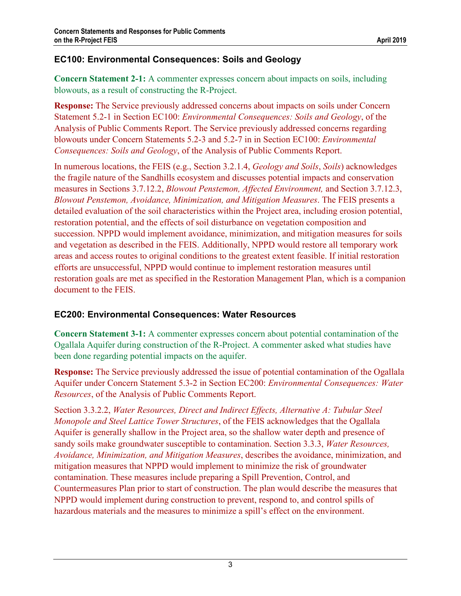# **EC100: Environmental Consequences: Soils and Geology**

**Concern Statement 2-1:** A commenter expresses concern about impacts on soils, including blowouts, as a result of constructing the R-Project.

**Response:** The Service previously addressed concerns about impacts on soils under Concern Statement 5.2-1 in Section EC100: *Environmental Consequences: Soils and Geology*, of the Analysis of Public Comments Report. The Service previously addressed concerns regarding blowouts under Concern Statements 5.2-3 and 5.2-7 in in Section EC100: *Environmental Consequences: Soils and Geology*, of the Analysis of Public Comments Report.

In numerous locations, the FEIS (e.g., Section 3.2.1.4, *Geology and Soils*, *Soils*) acknowledges the fragile nature of the Sandhills ecosystem and discusses potential impacts and conservation measures in Sections 3.7.12.2, *Blowout Penstemon, Affected Environment,* and Section 3.7.12.3, *Blowout Penstemon, Avoidance, Minimization, and Mitigation Measures*. The FEIS presents a detailed evaluation of the soil characteristics within the Project area, including erosion potential, restoration potential, and the effects of soil disturbance on vegetation composition and succession. NPPD would implement avoidance, minimization, and mitigation measures for soils and vegetation as described in the FEIS. Additionally, NPPD would restore all temporary work areas and access routes to original conditions to the greatest extent feasible. If initial restoration efforts are unsuccessful, NPPD would continue to implement restoration measures until restoration goals are met as specified in the Restoration Management Plan, which is a companion document to the FEIS.

## **EC200: Environmental Consequences: Water Resources**

**Concern Statement 3-1:** A commenter expresses concern about potential contamination of the Ogallala Aquifer during construction of the R-Project. A commenter asked what studies have been done regarding potential impacts on the aquifer.

**Response:** The Service previously addressed the issue of potential contamination of the Ogallala Aquifer under Concern Statement 5.3-2 in Section EC200: *Environmental Consequences: Water Resources*, of the Analysis of Public Comments Report.

Section 3.3.2.2, *Water Resources, Direct and Indirect Effects, Alternative A: Tubular Steel Monopole and Steel Lattice Tower Structures*, of the FEIS acknowledges that the Ogallala Aquifer is generally shallow in the Project area, so the shallow water depth and presence of sandy soils make groundwater susceptible to contamination. Section 3.3.3, *Water Resources, Avoidance, Minimization, and Mitigation Measures*, describes the avoidance, minimization, and mitigation measures that NPPD would implement to minimize the risk of groundwater contamination. These measures include preparing a Spill Prevention, Control, and Countermeasures Plan prior to start of construction. The plan would describe the measures that NPPD would implement during construction to prevent, respond to, and control spills of hazardous materials and the measures to minimize a spill's effect on the environment.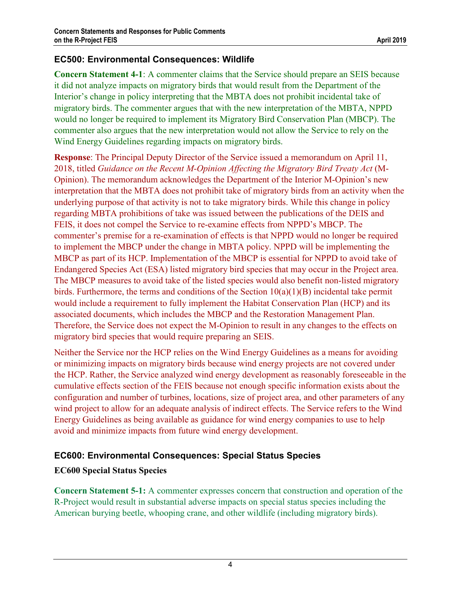## **EC500: Environmental Consequences: Wildlife**

**Concern Statement 4-1**: A commenter claims that the Service should prepare an SEIS because it did not analyze impacts on migratory birds that would result from the Department of the Interior's change in policy interpreting that the MBTA does not prohibit incidental take of migratory birds. The commenter argues that with the new interpretation of the MBTA, NPPD would no longer be required to implement its Migratory Bird Conservation Plan (MBCP). The commenter also argues that the new interpretation would not allow the Service to rely on the Wind Energy Guidelines regarding impacts on migratory birds.

**Response**: The Principal Deputy Director of the Service issued a memorandum on April 11, 2018, titled *Guidance on the Recent M-Opinion Affecting the Migratory Bird Treaty Act* (M-Opinion). The memorandum acknowledges the Department of the Interior M-Opinion's new interpretation that the MBTA does not prohibit take of migratory birds from an activity when the underlying purpose of that activity is not to take migratory birds. While this change in policy regarding MBTA prohibitions of take was issued between the publications of the DEIS and FEIS, it does not compel the Service to re-examine effects from NPPD's MBCP. The commenter's premise for a re-examination of effects is that NPPD would no longer be required to implement the MBCP under the change in MBTA policy. NPPD will be implementing the MBCP as part of its HCP. Implementation of the MBCP is essential for NPPD to avoid take of Endangered Species Act (ESA) listed migratory bird species that may occur in the Project area. The MBCP measures to avoid take of the listed species would also benefit non-listed migratory birds. Furthermore, the terms and conditions of the Section 10(a)(1)(B) incidental take permit would include a requirement to fully implement the Habitat Conservation Plan (HCP) and its associated documents, which includes the MBCP and the Restoration Management Plan. Therefore, the Service does not expect the M-Opinion to result in any changes to the effects on migratory bird species that would require preparing an SEIS.

Neither the Service nor the HCP relies on the Wind Energy Guidelines as a means for avoiding or minimizing impacts on migratory birds because wind energy projects are not covered under the HCP. Rather, the Service analyzed wind energy development as reasonably foreseeable in the cumulative effects section of the FEIS because not enough specific information exists about the configuration and number of turbines, locations, size of project area, and other parameters of any wind project to allow for an adequate analysis of indirect effects. The Service refers to the Wind Energy Guidelines as being available as guidance for wind energy companies to use to help avoid and minimize impacts from future wind energy development.

## **EC600: Environmental Consequences: Special Status Species**

#### **EC600 Special Status Species**

**Concern Statement 5-1:** A commenter expresses concern that construction and operation of the R-Project would result in substantial adverse impacts on special status species including the American burying beetle, whooping crane, and other wildlife (including migratory birds).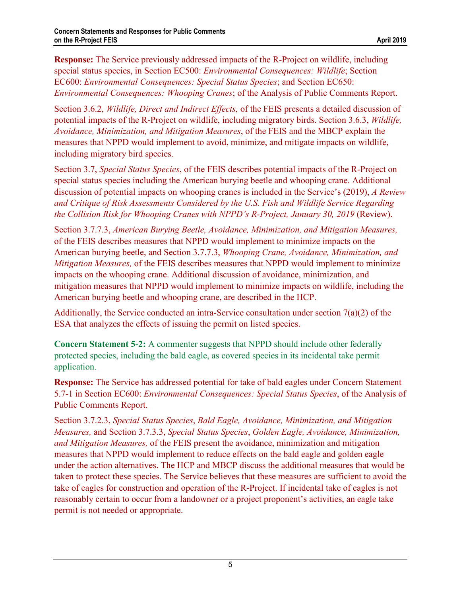**Response:** The Service previously addressed impacts of the R-Project on wildlife, including special status species, in Section EC500: *Environmental Consequences: Wildlife*; Section EC600: *Environmental Consequences: Special Status Species*; and Section EC650: *Environmental Consequences: Whooping Cranes*; of the Analysis of Public Comments Report.

Section 3.6.2, *Wildlife, Direct and Indirect Effects,* of the FEIS presents a detailed discussion of potential impacts of the R-Project on wildlife, including migratory birds. Section 3.6.3, *Wildlife, Avoidance, Minimization, and Mitigation Measures*, of the FEIS and the MBCP explain the measures that NPPD would implement to avoid, minimize, and mitigate impacts on wildlife, including migratory bird species.

Section 3.7, *Special Status Species*, of the FEIS describes potential impacts of the R-Project on special status species including the American burying beetle and whooping crane. Additional discussion of potential impacts on whooping cranes is included in the Service's (2019), *A Review and Critique of Risk Assessments Considered by the U.S. Fish and Wildlife Service Regarding the Collision Risk for Whooping Cranes with NPPD's R-Project, January 30, 2019 (Review).* 

Section 3.7.7.3, *American Burying Beetle, Avoidance, Minimization, and Mitigation Measures,*  of the FEIS describes measures that NPPD would implement to minimize impacts on the American burying beetle, and Section 3.7.7.3, *Whooping Crane, Avoidance, Minimization, and Mitigation Measures,* of the FEIS describes measures that NPPD would implement to minimize impacts on the whooping crane. Additional discussion of avoidance, minimization, and mitigation measures that NPPD would implement to minimize impacts on wildlife, including the American burying beetle and whooping crane, are described in the HCP.

Additionally, the Service conducted an intra-Service consultation under section 7(a)(2) of the ESA that analyzes the effects of issuing the permit on listed species.

**Concern Statement 5-2:** A commenter suggests that NPPD should include other federally protected species, including the bald eagle, as covered species in its incidental take permit application.

**Response:** The Service has addressed potential for take of bald eagles under Concern Statement 5.7-1 in Section EC600: *Environmental Consequences: Special Status Species*, of the Analysis of Public Comments Report.

Section 3.7.2.3, *Special Status Species*, *Bald Eagle, Avoidance, Minimization, and Mitigation Measures,* and Section 3.7.3.3, *Special Status Species*, *Golden Eagle, Avoidance, Minimization, and Mitigation Measures,* of the FEIS present the avoidance, minimization and mitigation measures that NPPD would implement to reduce effects on the bald eagle and golden eagle under the action alternatives. The HCP and MBCP discuss the additional measures that would be taken to protect these species. The Service believes that these measures are sufficient to avoid the take of eagles for construction and operation of the R-Project. If incidental take of eagles is not reasonably certain to occur from a landowner or a project proponent's activities, an eagle take permit is not needed or appropriate.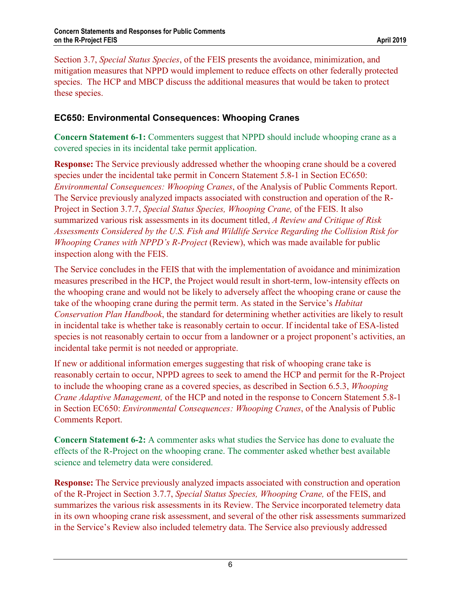Section 3.7, *Special Status Species*, of the FEIS presents the avoidance, minimization, and mitigation measures that NPPD would implement to reduce effects on other federally protected species. The HCP and MBCP discuss the additional measures that would be taken to protect these species.

## **EC650: Environmental Consequences: Whooping Cranes**

**Concern Statement 6-1:** Commenters suggest that NPPD should include whooping crane as a covered species in its incidental take permit application.

**Response:** The Service previously addressed whether the whooping crane should be a covered species under the incidental take permit in Concern Statement 5.8-1 in Section EC650: *Environmental Consequences: Whooping Cranes*, of the Analysis of Public Comments Report. The Service previously analyzed impacts associated with construction and operation of the R-Project in Section 3.7.7, *Special Status Species, Whooping Crane,* of the FEIS. It also summarized various risk assessments in its document titled, *A Review and Critique of Risk Assessments Considered by the U.S. Fish and Wildlife Service Regarding the Collision Risk for Whooping Cranes with NPPD's R-Project* (Review), which was made available for public inspection along with the FEIS.

The Service concludes in the FEIS that with the implementation of avoidance and minimization measures prescribed in the HCP, the Project would result in short-term, low-intensity effects on the whooping crane and would not be likely to adversely affect the whooping crane or cause the take of the whooping crane during the permit term. As stated in the Service's *Habitat Conservation Plan Handbook*, the standard for determining whether activities are likely to result in incidental take is whether take is reasonably certain to occur. If incidental take of ESA-listed species is not reasonably certain to occur from a landowner or a project proponent's activities, an incidental take permit is not needed or appropriate.

If new or additional information emerges suggesting that risk of whooping crane take is reasonably certain to occur, NPPD agrees to seek to amend the HCP and permit for the R-Project to include the whooping crane as a covered species, as described in Section 6.5.3, *Whooping Crane Adaptive Management,* of the HCP and noted in the response to Concern Statement 5.8-1 in Section EC650: *Environmental Consequences: Whooping Cranes*, of the Analysis of Public Comments Report.

**Concern Statement 6-2:** A commenter asks what studies the Service has done to evaluate the effects of the R-Project on the whooping crane. The commenter asked whether best available science and telemetry data were considered.

**Response:** The Service previously analyzed impacts associated with construction and operation of the R-Project in Section 3.7.7, *Special Status Species, Whooping Crane,* of the FEIS, and summarizes the various risk assessments in its Review. The Service incorporated telemetry data in its own whooping crane risk assessment, and several of the other risk assessments summarized in the Service's Review also included telemetry data. The Service also previously addressed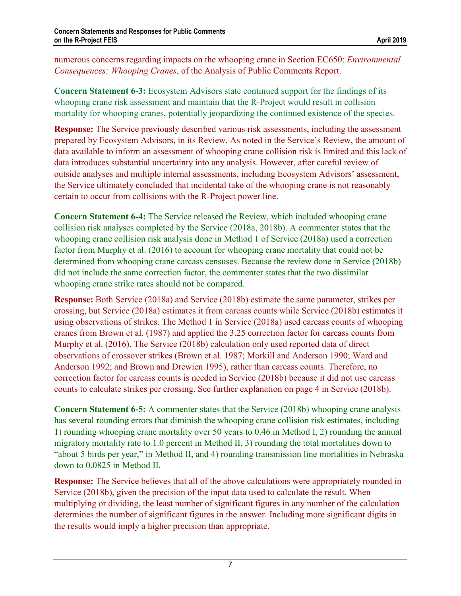numerous concerns regarding impacts on the whooping crane in Section EC650: *Environmental Consequences: Whooping Cranes*, of the Analysis of Public Comments Report.

**Concern Statement 6-3:** Ecosystem Advisors state continued support for the findings of its whooping crane risk assessment and maintain that the R-Project would result in collision mortality for whooping cranes, potentially jeopardizing the continued existence of the species.

**Response:** The Service previously described various risk assessments, including the assessment prepared by Ecosystem Advisors, in its Review. As noted in the Service's Review, the amount of data available to inform an assessment of whooping crane collision risk is limited and this lack of data introduces substantial uncertainty into any analysis. However, after careful review of outside analyses and multiple internal assessments, including Ecosystem Advisors' assessment, the Service ultimately concluded that incidental take of the whooping crane is not reasonably certain to occur from collisions with the R-Project power line.

**Concern Statement 6-4:** The Service released the Review, which included whooping crane collision risk analyses completed by the Service (2018a, 2018b). A commenter states that the whooping crane collision risk analysis done in Method 1 of Service (2018a) used a correction factor from Murphy et al. (2016) to account for whooping crane mortality that could not be determined from whooping crane carcass censuses. Because the review done in Service (2018b) did not include the same correction factor, the commenter states that the two dissimilar whooping crane strike rates should not be compared.

**Response:** Both Service (2018a) and Service (2018b) estimate the same parameter, strikes per crossing, but Service (2018a) estimates it from carcass counts while Service (2018b) estimates it using observations of strikes. The Method 1 in Service (2018a) used carcass counts of whooping cranes from Brown et al. (1987) and applied the 3.25 correction factor for carcass counts from Murphy et al. (2016). The Service (2018b) calculation only used reported data of direct observations of crossover strikes (Brown et al. 1987; Morkill and Anderson 1990; Ward and Anderson 1992; and Brown and Drewien 1995), rather than carcass counts. Therefore, no correction factor for carcass counts is needed in Service (2018b) because it did not use carcass counts to calculate strikes per crossing. See further explanation on page 4 in Service (2018b).

**Concern Statement 6-5:** A commenter states that the Service (2018b) whooping crane analysis has several rounding errors that diminish the whooping crane collision risk estimates, including 1) rounding whooping crane mortality over 50 years to 0.46 in Method I, 2) rounding the annual migratory mortality rate to 1.0 percent in Method II, 3) rounding the total mortalities down to "about 5 birds per year," in Method II, and 4) rounding transmission line mortalities in Nebraska down to 0.0825 in Method II.

**Response:** The Service believes that all of the above calculations were appropriately rounded in Service (2018b), given the precision of the input data used to calculate the result. When multiplying or dividing, the least number of significant figures in any number of the calculation determines the number of significant figures in the answer. Including more significant digits in the results would imply a higher precision than appropriate.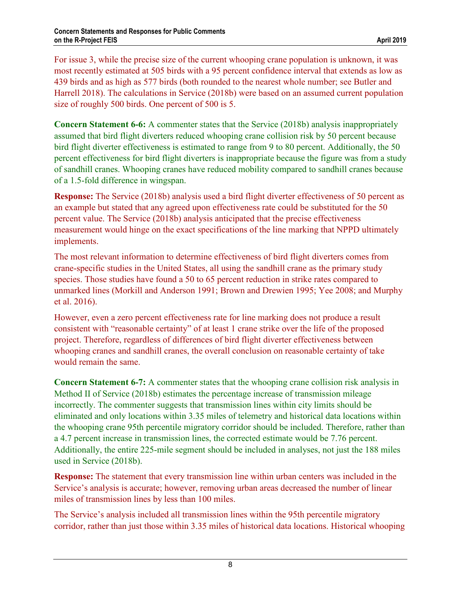For issue 3, while the precise size of the current whooping crane population is unknown, it was most recently estimated at 505 birds with a 95 percent confidence interval that extends as low as 439 birds and as high as 577 birds (both rounded to the nearest whole number; see Butler and Harrell 2018). The calculations in Service (2018b) were based on an assumed current population size of roughly 500 birds. One percent of 500 is 5.

**Concern Statement 6-6:** A commenter states that the Service (2018b) analysis inappropriately assumed that bird flight diverters reduced whooping crane collision risk by 50 percent because bird flight diverter effectiveness is estimated to range from 9 to 80 percent. Additionally, the 50 percent effectiveness for bird flight diverters is inappropriate because the figure was from a study of sandhill cranes. Whooping cranes have reduced mobility compared to sandhill cranes because of a 1.5-fold difference in wingspan.

**Response:** The Service (2018b) analysis used a bird flight diverter effectiveness of 50 percent as an example but stated that any agreed upon effectiveness rate could be substituted for the 50 percent value. The Service (2018b) analysis anticipated that the precise effectiveness measurement would hinge on the exact specifications of the line marking that NPPD ultimately implements.

The most relevant information to determine effectiveness of bird flight diverters comes from crane-specific studies in the United States, all using the sandhill crane as the primary study species. Those studies have found a 50 to 65 percent reduction in strike rates compared to unmarked lines (Morkill and Anderson 1991; Brown and Drewien 1995; Yee 2008; and Murphy et al. 2016).

However, even a zero percent effectiveness rate for line marking does not produce a result consistent with "reasonable certainty" of at least 1 crane strike over the life of the proposed project. Therefore, regardless of differences of bird flight diverter effectiveness between whooping cranes and sandhill cranes, the overall conclusion on reasonable certainty of take would remain the same.

**Concern Statement 6-7:** A commenter states that the whooping crane collision risk analysis in Method II of Service (2018b) estimates the percentage increase of transmission mileage incorrectly. The commenter suggests that transmission lines within city limits should be eliminated and only locations within 3.35 miles of telemetry and historical data locations within the whooping crane 95th percentile migratory corridor should be included. Therefore, rather than a 4.7 percent increase in transmission lines, the corrected estimate would be 7.76 percent. Additionally, the entire 225-mile segment should be included in analyses, not just the 188 miles used in Service (2018b).

**Response:** The statement that every transmission line within urban centers was included in the Service's analysis is accurate; however, removing urban areas decreased the number of linear miles of transmission lines by less than 100 miles.

The Service's analysis included all transmission lines within the 95th percentile migratory corridor, rather than just those within 3.35 miles of historical data locations. Historical whooping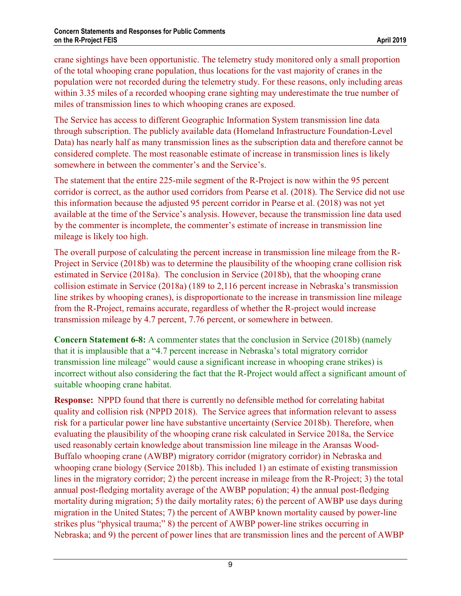crane sightings have been opportunistic. The telemetry study monitored only a small proportion of the total whooping crane population, thus locations for the vast majority of cranes in the population were not recorded during the telemetry study. For these reasons, only including areas within 3.35 miles of a recorded whooping crane sighting may underestimate the true number of miles of transmission lines to which whooping cranes are exposed.

The Service has access to different Geographic Information System transmission line data through subscription. The publicly available data (Homeland Infrastructure Foundation-Level Data) has nearly half as many transmission lines as the subscription data and therefore cannot be considered complete. The most reasonable estimate of increase in transmission lines is likely somewhere in between the commenter's and the Service's.

The statement that the entire 225-mile segment of the R-Project is now within the 95 percent corridor is correct, as the author used corridors from Pearse et al. (2018). The Service did not use this information because the adjusted 95 percent corridor in Pearse et al. (2018) was not yet available at the time of the Service's analysis. However, because the transmission line data used by the commenter is incomplete, the commenter's estimate of increase in transmission line mileage is likely too high.

The overall purpose of calculating the percent increase in transmission line mileage from the R-Project in Service (2018b) was to determine the plausibility of the whooping crane collision risk estimated in Service (2018a). The conclusion in Service (2018b), that the whooping crane collision estimate in Service (2018a) (189 to 2,116 percent increase in Nebraska's transmission line strikes by whooping cranes), is disproportionate to the increase in transmission line mileage from the R-Project, remains accurate, regardless of whether the R-project would increase transmission mileage by 4.7 percent, 7.76 percent, or somewhere in between.

**Concern Statement 6-8:** A commenter states that the conclusion in Service (2018b) (namely that it is implausible that a "4.7 percent increase in Nebraska's total migratory corridor transmission line mileage" would cause a significant increase in whooping crane strikes) is incorrect without also considering the fact that the R-Project would affect a significant amount of suitable whooping crane habitat.

**Response:** NPPD found that there is currently no defensible method for correlating habitat quality and collision risk (NPPD 2018). The Service agrees that information relevant to assess risk for a particular power line have substantive uncertainty (Service 2018b). Therefore, when evaluating the plausibility of the whooping crane risk calculated in Service 2018a, the Service used reasonably certain knowledge about transmission line mileage in the Aransas Wood-Buffalo whooping crane (AWBP) migratory corridor (migratory corridor) in Nebraska and whooping crane biology (Service 2018b). This included 1) an estimate of existing transmission lines in the migratory corridor; 2) the percent increase in mileage from the R-Project; 3) the total annual post-fledging mortality average of the AWBP population; 4) the annual post-fledging mortality during migration; 5) the daily mortality rates; 6) the percent of AWBP use days during migration in the United States; 7) the percent of AWBP known mortality caused by power-line strikes plus "physical trauma;" 8) the percent of AWBP power-line strikes occurring in Nebraska; and 9) the percent of power lines that are transmission lines and the percent of AWBP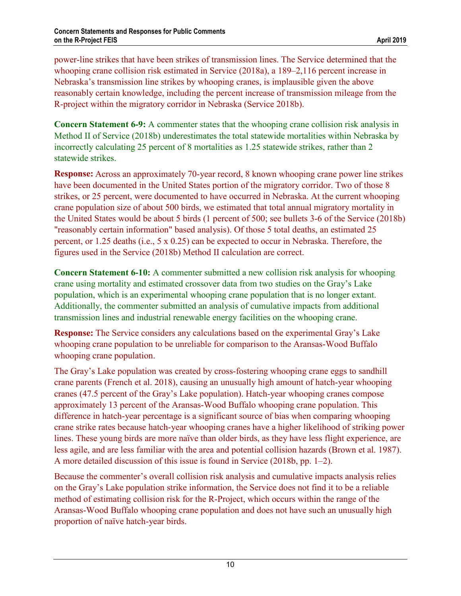power-line strikes that have been strikes of transmission lines. The Service determined that the whooping crane collision risk estimated in Service (2018a), a 189–2,116 percent increase in Nebraska's transmission line strikes by whooping cranes, is implausible given the above reasonably certain knowledge, including the percent increase of transmission mileage from the R-project within the migratory corridor in Nebraska (Service 2018b).

**Concern Statement 6-9:** A commenter states that the whooping crane collision risk analysis in Method II of Service (2018b) underestimates the total statewide mortalities within Nebraska by incorrectly calculating 25 percent of 8 mortalities as 1.25 statewide strikes, rather than 2 statewide strikes.

**Response:** Across an approximately 70-year record, 8 known whooping crane power line strikes have been documented in the United States portion of the migratory corridor. Two of those 8 strikes, or 25 percent, were documented to have occurred in Nebraska. At the current whooping crane population size of about 500 birds, we estimated that total annual migratory mortality in the United States would be about 5 birds (1 percent of 500; see bullets 3-6 of the Service (2018b) "reasonably certain information" based analysis). Of those 5 total deaths, an estimated 25 percent, or 1.25 deaths (i.e., 5 x 0.25) can be expected to occur in Nebraska. Therefore, the figures used in the Service (2018b) Method II calculation are correct.

**Concern Statement 6-10:** A commenter submitted a new collision risk analysis for whooping crane using mortality and estimated crossover data from two studies on the Gray's Lake population, which is an experimental whooping crane population that is no longer extant. Additionally, the commenter submitted an analysis of cumulative impacts from additional transmission lines and industrial renewable energy facilities on the whooping crane.

**Response:** The Service considers any calculations based on the experimental Gray's Lake whooping crane population to be unreliable for comparison to the Aransas-Wood Buffalo whooping crane population.

The Gray's Lake population was created by cross-fostering whooping crane eggs to sandhill crane parents (French et al. 2018), causing an unusually high amount of hatch-year whooping cranes (47.5 percent of the Gray's Lake population). Hatch-year whooping cranes compose approximately 13 percent of the Aransas-Wood Buffalo whooping crane population. This difference in hatch-year percentage is a significant source of bias when comparing whooping crane strike rates because hatch-year whooping cranes have a higher likelihood of striking power lines. These young birds are more naïve than older birds, as they have less flight experience, are less agile, and are less familiar with the area and potential collision hazards (Brown et al. 1987). A more detailed discussion of this issue is found in Service (2018b, pp. 1–2).

Because the commenter's overall collision risk analysis and cumulative impacts analysis relies on the Gray's Lake population strike information, the Service does not find it to be a reliable method of estimating collision risk for the R-Project, which occurs within the range of the Aransas-Wood Buffalo whooping crane population and does not have such an unusually high proportion of naïve hatch-year birds.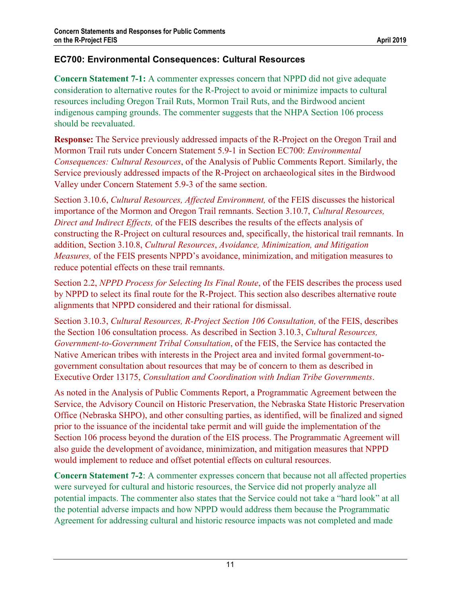# **EC700: Environmental Consequences: Cultural Resources**

**Concern Statement 7-1:** A commenter expresses concern that NPPD did not give adequate consideration to alternative routes for the R-Project to avoid or minimize impacts to cultural resources including Oregon Trail Ruts, Mormon Trail Ruts, and the Birdwood ancient indigenous camping grounds. The commenter suggests that the NHPA Section 106 process should be reevaluated.

**Response:** The Service previously addressed impacts of the R-Project on the Oregon Trail and Mormon Trail ruts under Concern Statement 5.9-1 in Section EC700: *Environmental Consequences: Cultural Resources*, of the Analysis of Public Comments Report. Similarly, the Service previously addressed impacts of the R-Project on archaeological sites in the Birdwood Valley under Concern Statement 5.9-3 of the same section.

Section 3.10.6, *Cultural Resources, Affected Environment,* of the FEIS discusses the historical importance of the Mormon and Oregon Trail remnants. Section 3.10.7, *Cultural Resources, Direct and Indirect Effects,* of the FEIS describes the results of the effects analysis of constructing the R-Project on cultural resources and, specifically, the historical trail remnants. In addition, Section 3.10.8, *Cultural Resources*, *Avoidance, Minimization, and Mitigation Measures,* of the FEIS presents NPPD's avoidance, minimization, and mitigation measures to reduce potential effects on these trail remnants.

Section 2.2, *NPPD Process for Selecting Its Final Route*, of the FEIS describes the process used by NPPD to select its final route for the R-Project. This section also describes alternative route alignments that NPPD considered and their rational for dismissal.

Section 3.10.3, *Cultural Resources, R-Project Section 106 Consultation,* of the FEIS, describes the Section 106 consultation process. As described in Section 3.10.3, *Cultural Resources, Government-to-Government Tribal Consultation*, of the FEIS, the Service has contacted the Native American tribes with interests in the Project area and invited formal government-togovernment consultation about resources that may be of concern to them as described in Executive Order 13175, *Consultation and Coordination with Indian Tribe Governments*.

As noted in the Analysis of Public Comments Report, a Programmatic Agreement between the Service, the Advisory Council on Historic Preservation, the Nebraska State Historic Preservation Office (Nebraska SHPO), and other consulting parties, as identified, will be finalized and signed prior to the issuance of the incidental take permit and will guide the implementation of the Section 106 process beyond the duration of the EIS process. The Programmatic Agreement will also guide the development of avoidance, minimization, and mitigation measures that NPPD would implement to reduce and offset potential effects on cultural resources.

**Concern Statement 7-2**: A commenter expresses concern that because not all affected properties were surveyed for cultural and historic resources, the Service did not properly analyze all potential impacts. The commenter also states that the Service could not take a "hard look" at all the potential adverse impacts and how NPPD would address them because the Programmatic Agreement for addressing cultural and historic resource impacts was not completed and made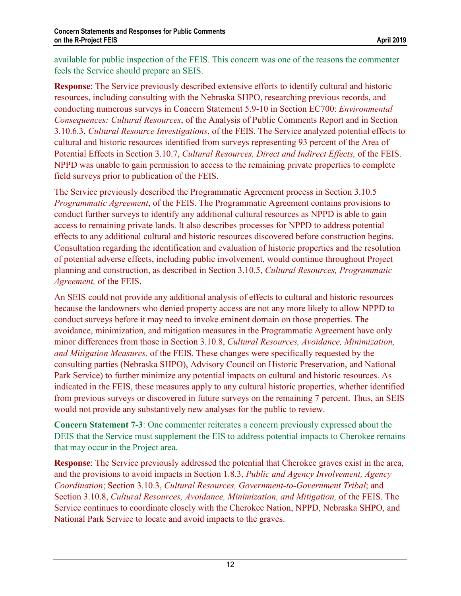available for public inspection of the FEIS. This concern was one of the reasons the commenter feels the Service should prepare an SEIS.

**Response**: The Service previously described extensive efforts to identify cultural and historic resources, including consulting with the Nebraska SHPO, researching previous records, and conducting numerous surveys in Concern Statement 5.9-10 in Section EC700: *Environmental Consequences: Cultural Resources*, of the Analysis of Public Comments Report and in Section 3.10.6.3, *Cultural Resource Investigations*, of the FEIS. The Service analyzed potential effects to cultural and historic resources identified from surveys representing 93 percent of the Area of Potential Effects in Section 3.10.7, *Cultural Resources, Direct and Indirect Effects,* of the FEIS. NPPD was unable to gain permission to access to the remaining private properties to complete field surveys prior to publication of the FEIS.

The Service previously described the Programmatic Agreement process in Section 3.10.5 *Programmatic Agreement*, of the FEIS. The Programmatic Agreement contains provisions to conduct further surveys to identify any additional cultural resources as NPPD is able to gain access to remaining private lands. It also describes processes for NPPD to address potential effects to any additional cultural and historic resources discovered before construction begins. Consultation regarding the identification and evaluation of historic properties and the resolution of potential adverse effects, including public involvement, would continue throughout Project planning and construction, as described in Section 3.10.5, *Cultural Resources, Programmatic Agreement,* of the FEIS.

An SEIS could not provide any additional analysis of effects to cultural and historic resources because the landowners who denied property access are not any more likely to allow NPPD to conduct surveys before it may need to invoke eminent domain on those properties. The avoidance, minimization, and mitigation measures in the Programmatic Agreement have only minor differences from those in Section 3.10.8, *Cultural Resources, Avoidance, Minimization, and Mitigation Measures,* of the FEIS. These changes were specifically requested by the consulting parties (Nebraska SHPO), Advisory Council on Historic Preservation, and National Park Service) to further minimize any potential impacts on cultural and historic resources. As indicated in the FEIS, these measures apply to any cultural historic properties, whether identified from previous surveys or discovered in future surveys on the remaining 7 percent. Thus, an SEIS would not provide any substantively new analyses for the public to review.

**Concern Statement 7-3**: One commenter reiterates a concern previously expressed about the DEIS that the Service must supplement the EIS to address potential impacts to Cherokee remains that may occur in the Project area.

**Response**: The Service previously addressed the potential that Cherokee graves exist in the area, and the provisions to avoid impacts in Section 1.8.3, *Public and Agency Involvement, Agency Coordination*; Section 3.10.3, *Cultural Resources, Government-to-Government Tribal*; and Section 3.10.8, *Cultural Resources, Avoidance, Minimization, and Mitigation,* of the FEIS. The Service continues to coordinate closely with the Cherokee Nation, NPPD, Nebraska SHPO, and National Park Service to locate and avoid impacts to the graves.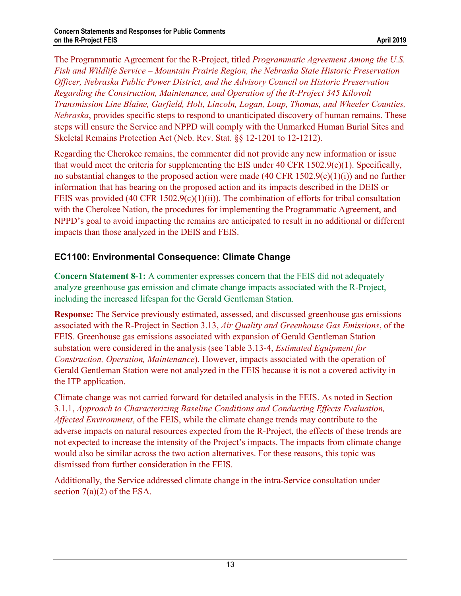The Programmatic Agreement for the R-Project, titled *Programmatic Agreement Among the U.S. Fish and Wildlife Service – Mountain Prairie Region, the Nebraska State Historic Preservation Officer, Nebraska Public Power District, and the Advisory Council on Historic Preservation Regarding the Construction, Maintenance, and Operation of the R-Project 345 Kilovolt Transmission Line Blaine, Garfield, Holt, Lincoln, Logan, Loup, Thomas, and Wheeler Counties, Nebraska*, provides specific steps to respond to unanticipated discovery of human remains. These steps will ensure the Service and NPPD will comply with the Unmarked Human Burial Sites and Skeletal Remains Protection Act (Neb. Rev. Stat. §§ 12-1201 to 12-1212).

Regarding the Cherokee remains, the commenter did not provide any new information or issue that would meet the criteria for supplementing the EIS under 40 CFR 1502.9(c)(1). Specifically, no substantial changes to the proposed action were made (40 CFR 1502.9(c)(1)(i)) and no further information that has bearing on the proposed action and its impacts described in the DEIS or FEIS was provided (40 CFR 1502.9(c)(1)(ii)). The combination of efforts for tribal consultation with the Cherokee Nation, the procedures for implementing the Programmatic Agreement, and NPPD's goal to avoid impacting the remains are anticipated to result in no additional or different impacts than those analyzed in the DEIS and FEIS.

# **EC1100: Environmental Consequence: Climate Change**

**Concern Statement 8-1:** A commenter expresses concern that the FEIS did not adequately analyze greenhouse gas emission and climate change impacts associated with the R-Project, including the increased lifespan for the Gerald Gentleman Station.

**Response:** The Service previously estimated, assessed, and discussed greenhouse gas emissions associated with the R-Project in Section 3.13, *Air Quality and Greenhouse Gas Emissions*, of the FEIS. Greenhouse gas emissions associated with expansion of Gerald Gentleman Station substation were considered in the analysis (see Table 3.13-4, *Estimated Equipment for Construction, Operation, Maintenance*). However, impacts associated with the operation of Gerald Gentleman Station were not analyzed in the FEIS because it is not a covered activity in the ITP application.

Climate change was not carried forward for detailed analysis in the FEIS. As noted in Section 3.1.1, *Approach to Characterizing Baseline Conditions and Conducting Effects Evaluation, Affected Environment*, of the FEIS, while the climate change trends may contribute to the adverse impacts on natural resources expected from the R-Project, the effects of these trends are not expected to increase the intensity of the Project's impacts. The impacts from climate change would also be similar across the two action alternatives. For these reasons, this topic was dismissed from further consideration in the FEIS.

Additionally, the Service addressed climate change in the intra-Service consultation under section  $7(a)(2)$  of the ESA.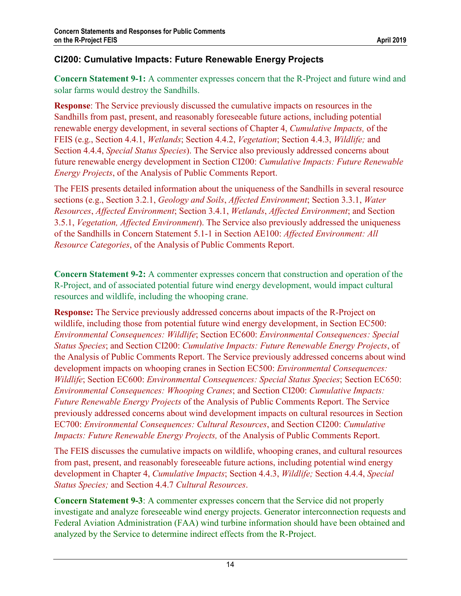# **CI200: Cumulative Impacts: Future Renewable Energy Projects**

**Concern Statement 9-1:** A commenter expresses concern that the R-Project and future wind and solar farms would destroy the Sandhills.

**Response**: The Service previously discussed the cumulative impacts on resources in the Sandhills from past, present, and reasonably foreseeable future actions, including potential renewable energy development, in several sections of Chapter 4, *Cumulative Impacts,* of the FEIS (e.g., Section 4.4.1, *Wetlands*; Section 4.4.2, *Vegetation*; Section 4.4.3, *Wildlife;* and Section 4.4.4, *Special Status Species*). The Service also previously addressed concerns about future renewable energy development in Section CI200: *Cumulative Impacts: Future Renewable Energy Projects*, of the Analysis of Public Comments Report.

The FEIS presents detailed information about the uniqueness of the Sandhills in several resource sections (e.g., Section 3.2.1, *Geology and Soils*, *Affected Environment*; Section 3.3.1, *Water Resources*, *Affected Environment*; Section 3.4.1, *Wetlands*, *Affected Environment*; and Section 3.5.1, *Vegetation, Affected Environment*). The Service also previously addressed the uniqueness of the Sandhills in Concern Statement 5.1-1 in Section AE100: *Affected Environment: All Resource Categories*, of the Analysis of Public Comments Report.

**Concern Statement 9-2:** A commenter expresses concern that construction and operation of the R-Project, and of associated potential future wind energy development, would impact cultural resources and wildlife, including the whooping crane.

**Response:** The Service previously addressed concerns about impacts of the R-Project on wildlife, including those from potential future wind energy development, in Section EC500: *Environmental Consequences: Wildlife*; Section EC600: *Environmental Consequences: Special Status Species*; and Section CI200: *Cumulative Impacts: Future Renewable Energy Projects*, of the Analysis of Public Comments Report. The Service previously addressed concerns about wind development impacts on whooping cranes in Section EC500: *Environmental Consequences: Wildlife*; Section EC600: *Environmental Consequences: Special Status Species*; Section EC650: *Environmental Consequences: Whooping Cranes*; and Section CI200: *Cumulative Impacts: Future Renewable Energy Projects* of the Analysis of Public Comments Report. The Service previously addressed concerns about wind development impacts on cultural resources in Section EC700: *Environmental Consequences: Cultural Resources*, and Section CI200: *Cumulative Impacts: Future Renewable Energy Projects,* of the Analysis of Public Comments Report.

The FEIS discusses the cumulative impacts on wildlife, whooping cranes, and cultural resources from past, present, and reasonably foreseeable future actions, including potential wind energy development in Chapter 4, *Cumulative Impacts*; Section 4.4.3, *Wildlife;* Section 4.4.4, *Special Status Species;* and Section 4.4.7 *Cultural Resources*.

**Concern Statement 9-3**: A commenter expresses concern that the Service did not properly investigate and analyze foreseeable wind energy projects. Generator interconnection requests and Federal Aviation Administration (FAA) wind turbine information should have been obtained and analyzed by the Service to determine indirect effects from the R-Project.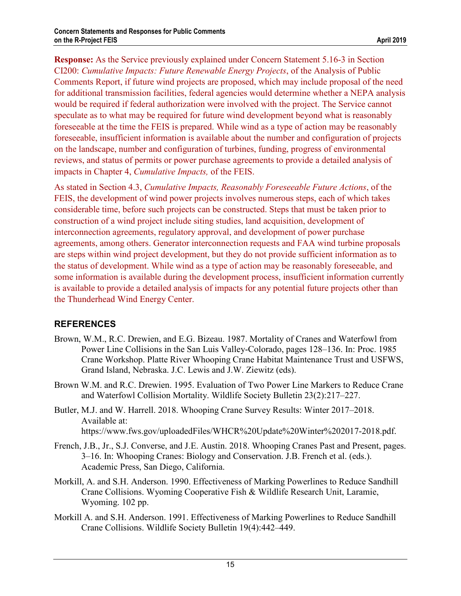**Response:** As the Service previously explained under Concern Statement 5.16-3 in Section CI200: *Cumulative Impacts: Future Renewable Energy Projects*, of the Analysis of Public Comments Report, if future wind projects are proposed, which may include proposal of the need for additional transmission facilities, federal agencies would determine whether a NEPA analysis would be required if federal authorization were involved with the project. The Service cannot speculate as to what may be required for future wind development beyond what is reasonably foreseeable at the time the FEIS is prepared. While wind as a type of action may be reasonably foreseeable, insufficient information is available about the number and configuration of projects on the landscape, number and configuration of turbines, funding, progress of environmental reviews, and status of permits or power purchase agreements to provide a detailed analysis of impacts in Chapter 4, *Cumulative Impacts,* of the FEIS.

As stated in Section 4.3, *Cumulative Impacts, Reasonably Foreseeable Future Actions*, of the FEIS, the development of wind power projects involves numerous steps, each of which takes considerable time, before such projects can be constructed. Steps that must be taken prior to construction of a wind project include siting studies, land acquisition, development of interconnection agreements, regulatory approval, and development of power purchase agreements, among others. Generator interconnection requests and FAA wind turbine proposals are steps within wind project development, but they do not provide sufficient information as to the status of development. While wind as a type of action may be reasonably foreseeable, and some information is available during the development process, insufficient information currently is available to provide a detailed analysis of impacts for any potential future projects other than the Thunderhead Wind Energy Center.

## **REFERENCES**

- Brown, W.M., R.C. Drewien, and E.G. Bizeau. 1987. Mortality of Cranes and Waterfowl from Power Line Collisions in the San Luis Valley-Colorado, pages 128–136. In: Proc. 1985 Crane Workshop. Platte River Whooping Crane Habitat Maintenance Trust and USFWS, Grand Island, Nebraska. J.C. Lewis and J.W. Ziewitz (eds).
- Brown W.M. and R.C. Drewien. 1995. Evaluation of Two Power Line Markers to Reduce Crane and Waterfowl Collision Mortality. Wildlife Society Bulletin 23(2):217–227.
- Butler, M.J. and W. Harrell. 2018. Whooping Crane Survey Results: Winter 2017–2018. Available at: https://www.fws.gov/uploadedFiles/WHCR%20Update%20Winter%202017-2018.pdf.
- French, J.B., Jr., S.J. Converse, and J.E. Austin. 2018. Whooping Cranes Past and Present, pages. 3–16. In: Whooping Cranes: Biology and Conservation. J.B. French et al. (eds.). Academic Press, San Diego, California.
- Morkill, A. and S.H. Anderson. 1990. Effectiveness of Marking Powerlines to Reduce Sandhill Crane Collisions. Wyoming Cooperative Fish & Wildlife Research Unit, Laramie, Wyoming. 102 pp.
- Morkill A. and S.H. Anderson. 1991. Effectiveness of Marking Powerlines to Reduce Sandhill Crane Collisions. Wildlife Society Bulletin 19(4):442–449.